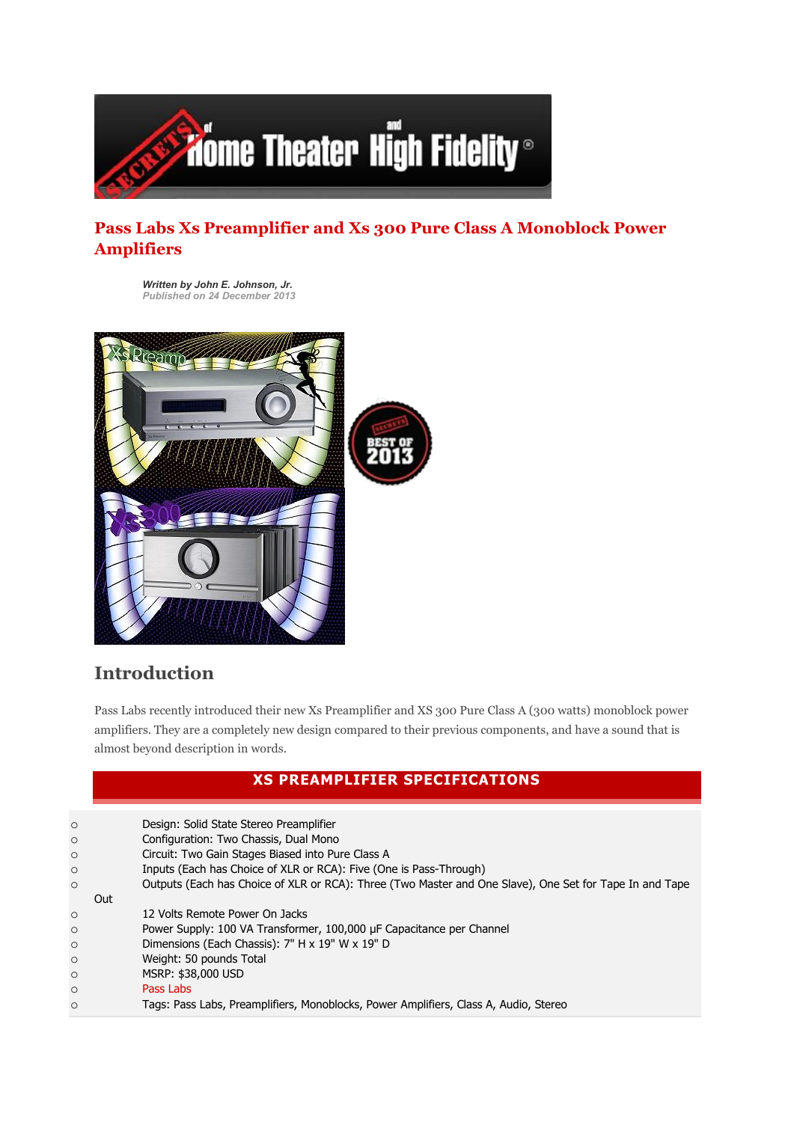

### Pass Labs Xs Preamplifier and Xs 300 Pure Class A Monoblock Power Amplifiers

*Written by John E. Johnson, Jr. Published on 24 December 2013*



# Introduction

Pass Labs recently introduced their new Xs Preamplifier and XS 300 Pure Class A (300 watts) monoblock power amplifiers. They are a completely new design compared to their previous components, and have a sound that is almost beyond description in words.

#### XS PREAMPLIFIER SPECIFICATIONS

| $\circ$ | Design: Solid State Stereo Preamplifier                                                                 |
|---------|---------------------------------------------------------------------------------------------------------|
| $\circ$ | Configuration: Two Chassis, Dual Mono                                                                   |
| $\circ$ | Circuit: Two Gain Stages Biased into Pure Class A                                                       |
| $\circ$ | Inputs (Each has Choice of XLR or RCA): Five (One is Pass-Through)                                      |
| $\circ$ | Outputs (Each has Choice of XLR or RCA): Three (Two Master and One Slave), One Set for Tape In and Tape |
| Out     |                                                                                                         |
| $\circ$ | 12 Volts Remote Power On Jacks                                                                          |
| $\circ$ | Power Supply: 100 VA Transformer, 100,000 µF Capacitance per Channel                                    |
| $\circ$ | Dimensions (Each Chassis): 7" H x 19" W x 19" D                                                         |
| $\circ$ | Weight: 50 pounds Total                                                                                 |
| $\circ$ | MSRP: \$38,000 USD                                                                                      |
| $\circ$ | Pass Labs                                                                                               |
| $\circ$ | Tags: Pass Labs, Preamplifiers, Monoblocks, Power Amplifiers, Class A, Audio, Stereo                    |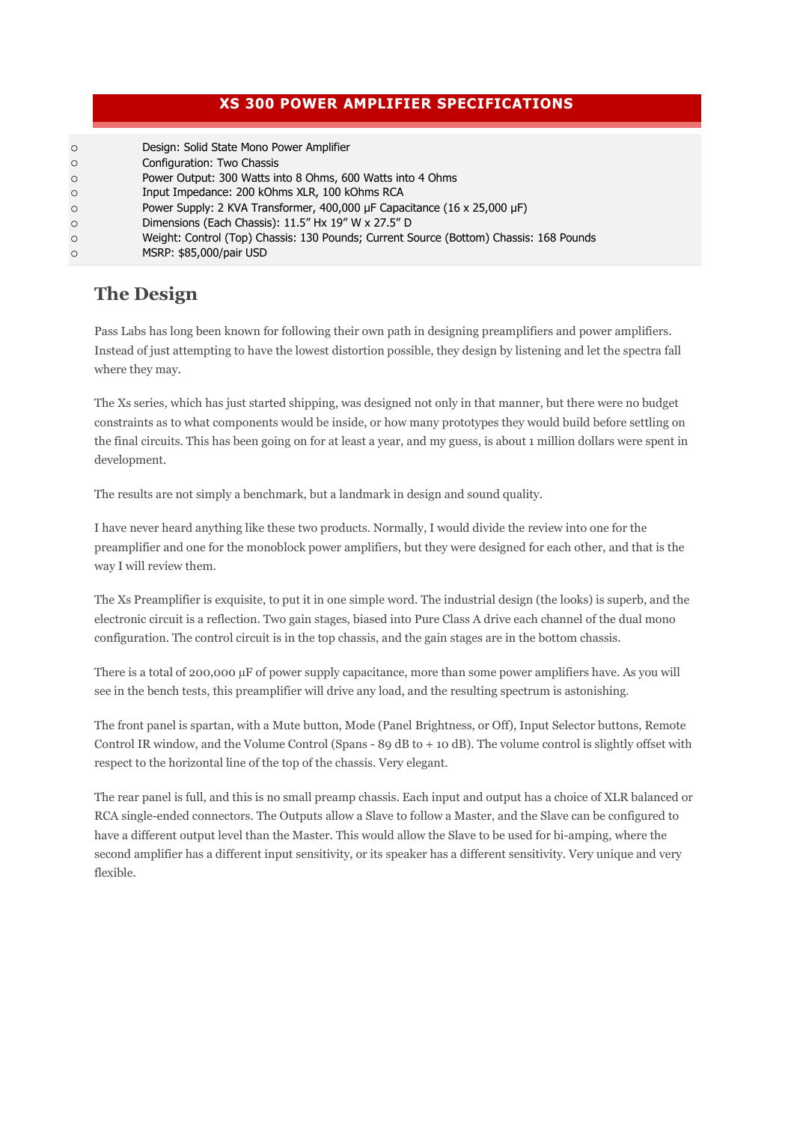#### XS 300 POWER AMPLIFIER SPECIFICATIONS

| $\circ$ | Design: Solid State Mono Power Amplifier                                               |
|---------|----------------------------------------------------------------------------------------|
| $\circ$ | Configuration: Two Chassis                                                             |
| $\circ$ | Power Output: 300 Watts into 8 Ohms, 600 Watts into 4 Ohms                             |
| $\circ$ | Input Impedance: 200 kOhms XLR, 100 kOhms RCA                                          |
| $\circ$ | Power Supply: 2 KVA Transformer, 400,000 µF Capacitance (16 x 25,000 µF)               |
| $\circ$ | Dimensions (Each Chassis): 11.5" Hx 19" W x 27.5" D                                    |
| $\circ$ | Weight: Control (Top) Chassis: 130 Pounds; Current Source (Bottom) Chassis: 168 Pounds |
| $\circ$ | MSRP: \$85,000/pair USD                                                                |
|         |                                                                                        |

## The Design

Pass Labs has long been known for following their own path in designing preamplifiers and power amplifiers. Instead of just attempting to have the lowest distortion possible, they design by listening and let the spectra fall where they may.

The Xs series, which has just started shipping, was designed not only in that manner, but there were no budget constraints as to what components would be inside, or how many prototypes they would build before settling on the final circuits. This has been going on for at least a year, and my guess, is about 1 million dollars were spent in development.

The results are not simply a benchmark, but a landmark in design and sound quality.

I have never heard anything like these two products. Normally, I would divide the review into one for the preamplifier and one for the monoblock power amplifiers, but they were designed for each other, and that is the way I will review them.

The Xs Preamplifier is exquisite, to put it in one simple word. The industrial design (the looks) is superb, and the electronic circuit is a reflection. Two gain stages, biased into Pure Class A drive each channel of the dual mono configuration. The control circuit is in the top chassis, and the gain stages are in the bottom chassis.

There is a total of 200,000 µF of power supply capacitance, more than some power amplifiers have. As you will see in the bench tests, this preamplifier will drive any load, and the resulting spectrum is astonishing.

The front panel is spartan, with a Mute button, Mode (Panel Brightness, or Off), Input Selector buttons, Remote Control IR window, and the Volume Control (Spans - 89 dB to + 10 dB). The volume control is slightly offset with respect to the horizontal line of the top of the chassis. Very elegant.

The rear panel is full, and this is no small preamp chassis. Each input and output has a choice of XLR balanced or RCA single-ended connectors. The Outputs allow a Slave to follow a Master, and the Slave can be configured to have a different output level than the Master. This would allow the Slave to be used for bi-amping, where the second amplifier has a different input sensitivity, or its speaker has a different sensitivity. Very unique and very flexible.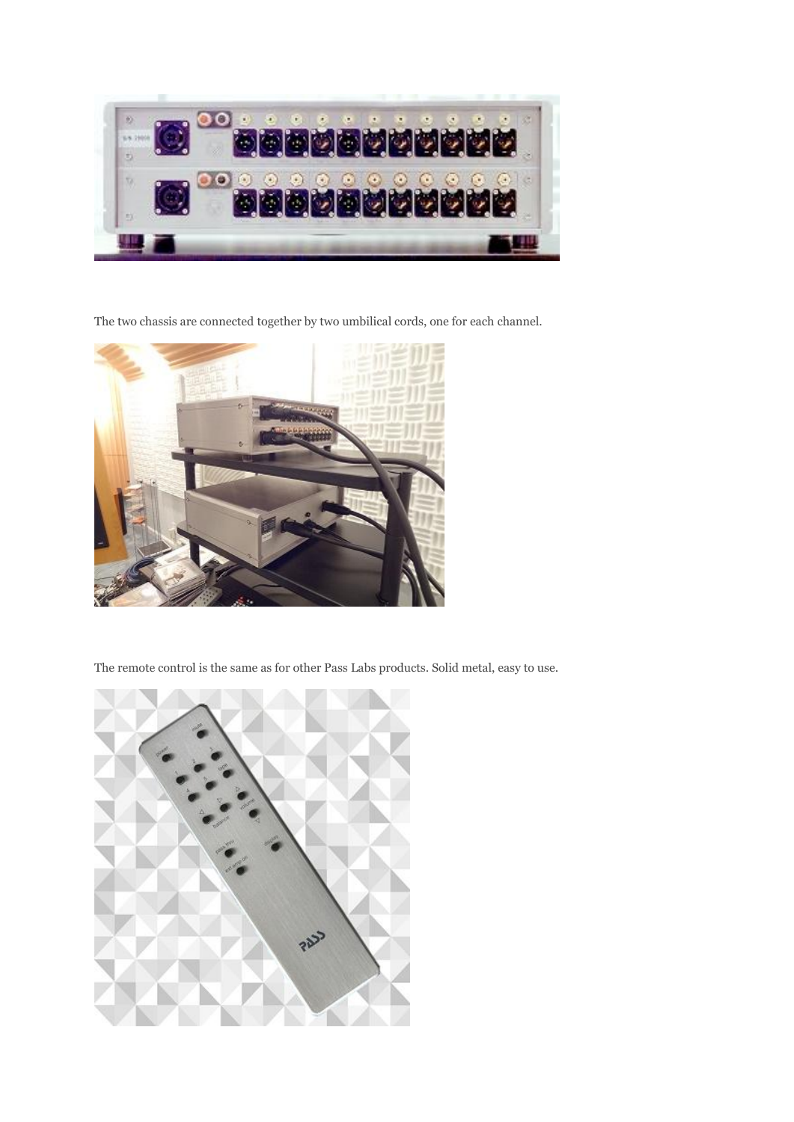

The two chassis are connected together by two umbilical cords, one for each channel.



The remote control is the same as for other Pass Labs products. Solid metal, easy to use.

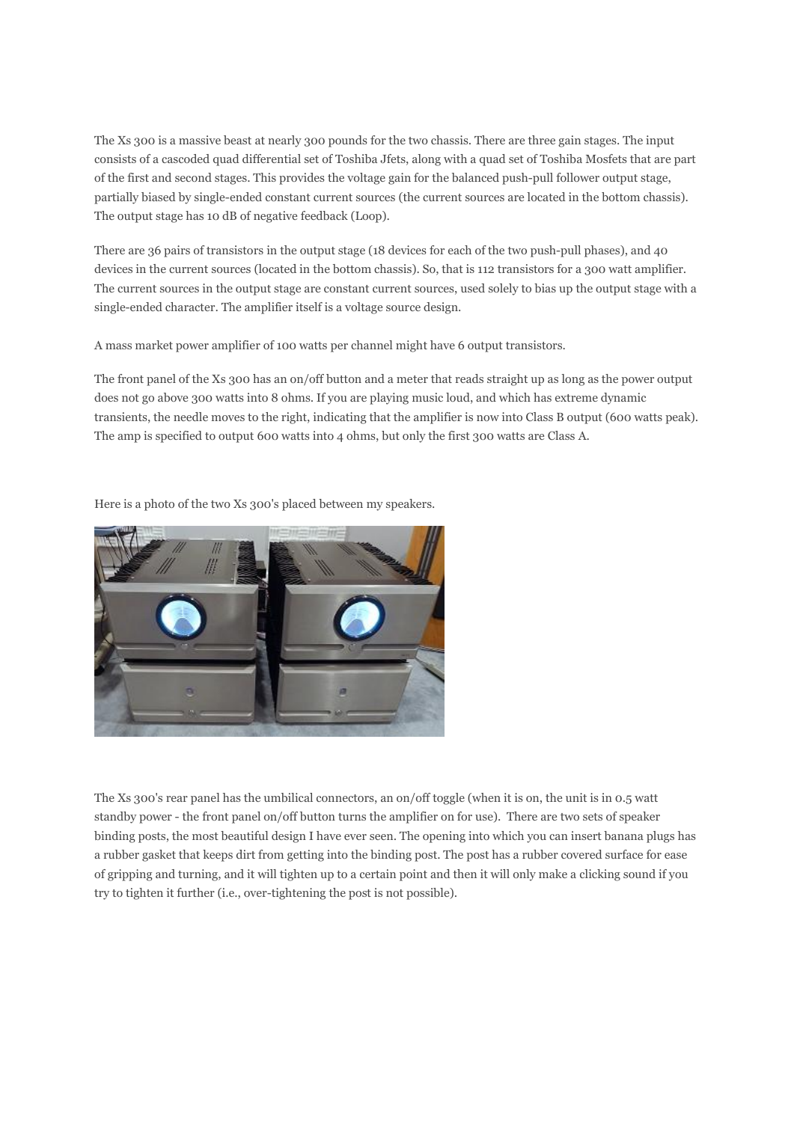The Xs 300 is a massive beast at nearly 300 pounds for the two chassis. There are three gain stages. The input consists of a cascoded quad differential set of Toshiba Jfets, along with a quad set of Toshiba Mosfets that are part of the first and second stages. This provides the voltage gain for the balanced push-pull follower output stage, partially biased by single-ended constant current sources (the current sources are located in the bottom chassis). The output stage has 10 dB of negative feedback (Loop).

There are 36 pairs of transistors in the output stage (18 devices for each of the two push-pull phases), and 40 devices in the current sources (located in the bottom chassis). So, that is 112 transistors for a 300 watt amplifier. The current sources in the output stage are constant current sources, used solely to bias up the output stage with a single-ended character. The amplifier itself is a voltage source design.

A mass market power amplifier of 100 watts per channel might have 6 output transistors.

The front panel of the Xs 300 has an on/off button and a meter that reads straight up as long as the power output does not go above 300 watts into 8 ohms. If you are playing music loud, and which has extreme dynamic transients, the needle moves to the right, indicating that the amplifier is now into Class B output (600 watts peak). The amp is specified to output 600 watts into 4 ohms, but only the first 300 watts are Class A.

Here is a photo of the two Xs 300's placed between my speakers.



The Xs 300's rear panel has the umbilical connectors, an on/off toggle (when it is on, the unit is in 0.5 watt standby power - the front panel on/off button turns the amplifier on for use). There are two sets of speaker binding posts, the most beautiful design I have ever seen. The opening into which you can insert banana plugs has a rubber gasket that keeps dirt from getting into the binding post. The post has a rubber covered surface for ease of gripping and turning, and it will tighten up to a certain point and then it will only make a clicking sound if you try to tighten it further (i.e., over-tightening the post is not possible).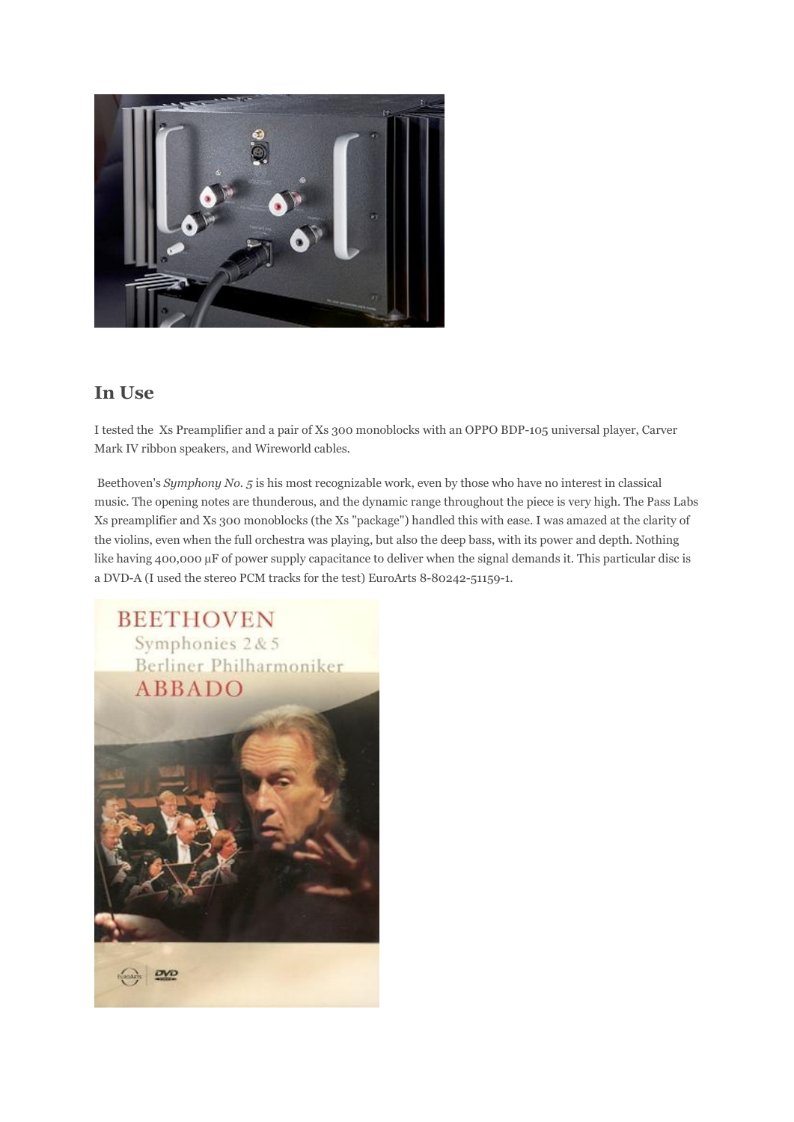

#### In Use

I tested the Xs Preamplifier and a pair of Xs 300 monoblocks with an OPPO BDP-105 universal player, Carver Mark IV ribbon speakers, and Wireworld cables.

Beethoven's *Symphony No. 5* is his most recognizable work, even by those who have no interest in classical music. The opening notes are thunderous, and the dynamic range throughout the piece is very high. The Pass Labs Xs preamplifier and Xs 300 monoblocks (the Xs "package") handled this with ease. I was amazed at the clarity of the violins, even when the full orchestra was playing, but also the deep bass, with its power and depth. Nothing like having 400,000 µF of power supply capacitance to deliver when the signal demands it. This particular disc is a DVD-A (I used the stereo PCM tracks for the test) EuroArts 8-80242-51159-1.

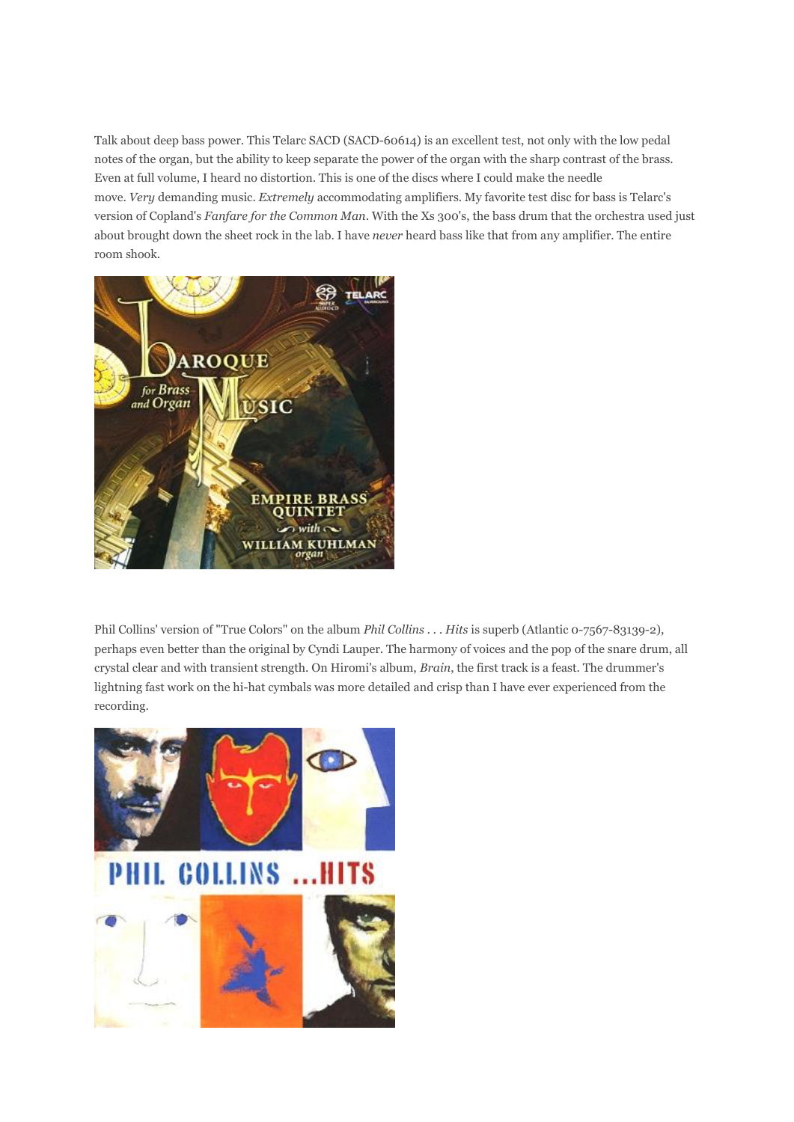Talk about deep bass power. This Telarc SACD (SACD-60614) is an excellent test, not only with the low pedal notes of the organ, but the ability to keep separate the power of the organ with the sharp contrast of the brass. Even at full volume, I heard no distortion. This is one of the discs where I could make the needle move. *Very* demanding music. *Extremely* accommodating amplifiers. My favorite test disc for bass is Telarc's version of Copland's *Fanfare for the Common Man*. With the Xs 300's, the bass drum that the orchestra used just about brought down the sheet rock in the lab. I have *never* heard bass like that from any amplifier. The entire room shook.



Phil Collins' version of "True Colors" on the album *Phil Collins . . . Hits* is superb (Atlantic 0-7567-83139-2), perhaps even better than the original by Cyndi Lauper. The harmony of voices and the pop of the snare drum, all crystal clear and with transient strength. On Hiromi's album, *Brain*, the first track is a feast. The drummer's lightning fast work on the hi-hat cymbals was more detailed and crisp than I have ever experienced from the recording.

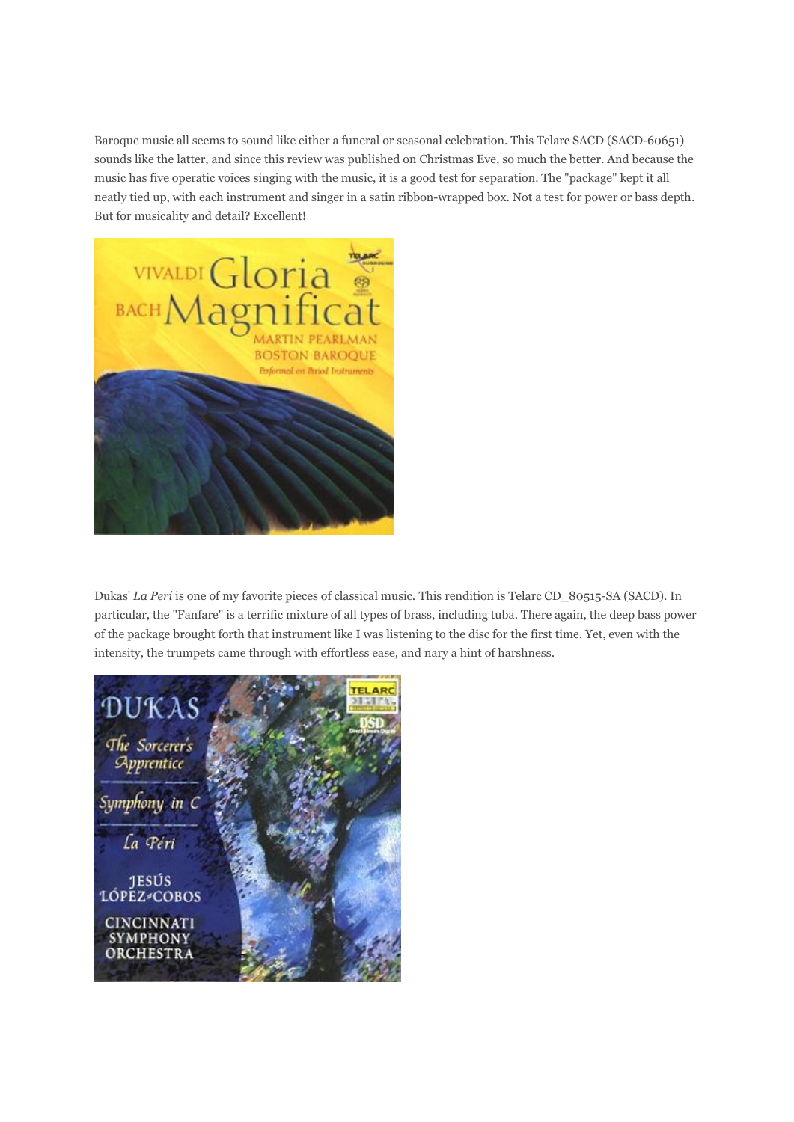Baroque music all seems to sound like either a funeral or seasonal celebration. This Telarc SACD (SACD-60651) sounds like the latter, and since this review was published on Christmas Eve, so much the better. And because the music has five operatic voices singing with the music, it is a good test for separation. The "package" kept it all neatly tied up, with each instrument and singer in a satin ribbon-wrapped box. Not a test for power or bass depth. But for musicality and detail? Excellent!



Dukas' *La Peri* is one of my favorite pieces of classical music. This rendition is Telarc CD\_80515-SA (SACD). In particular, the "Fanfare" is a terrific mixture of all types of brass, including tuba. There again, the deep bass power of the package brought forth that instrument like I was listening to the disc for the first time. Yet, even with the intensity, the trumpets came through with effortless ease, and nary a hint of harshness.

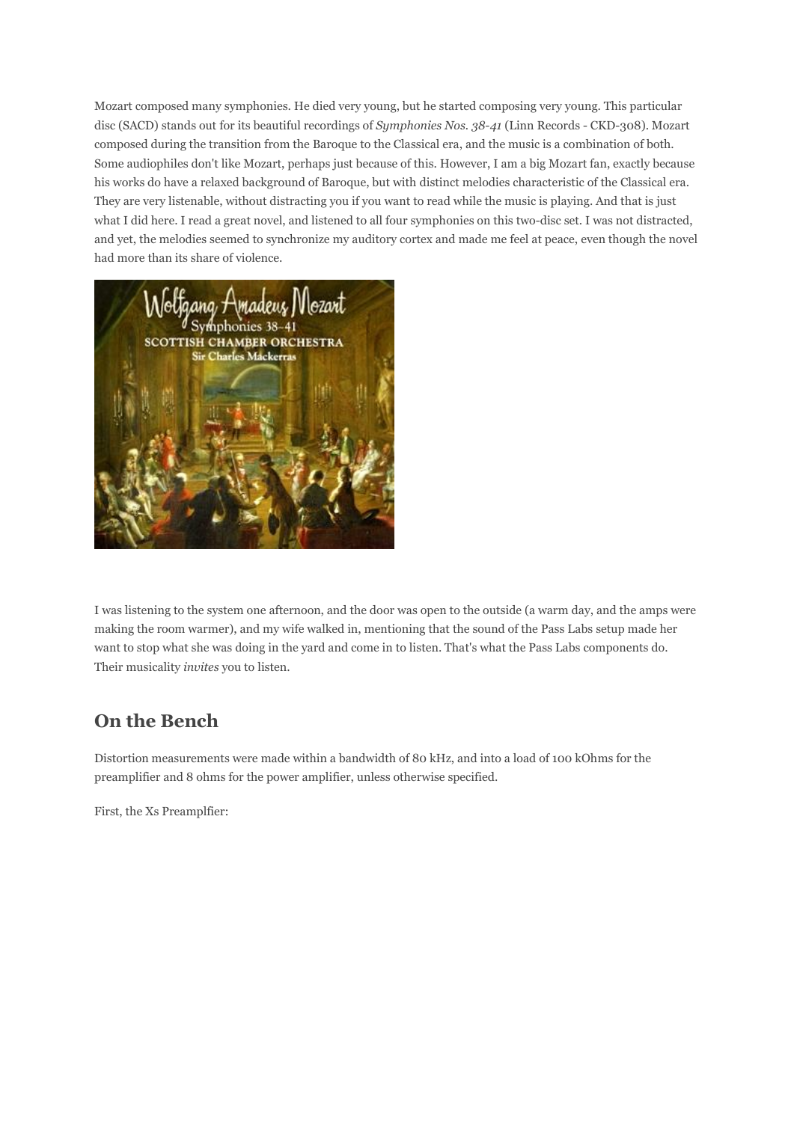Mozart composed many symphonies. He died very young, but he started composing very young. This particular disc (SACD) stands out for its beautiful recordings of *Symphonies Nos. 38-41* (Linn Records - CKD-308). Mozart composed during the transition from the Baroque to the Classical era, and the music is a combination of both. Some audiophiles don't like Mozart, perhaps just because of this. However, I am a big Mozart fan, exactly because his works do have a relaxed background of Baroque, but with distinct melodies characteristic of the Classical era. They are very listenable, without distracting you if you want to read while the music is playing. And that is just what I did here. I read a great novel, and listened to all four symphonies on this two-disc set. I was not distracted, and yet, the melodies seemed to synchronize my auditory cortex and made me feel at peace, even though the novel had more than its share of violence.



I was listening to the system one afternoon, and the door was open to the outside (a warm day, and the amps were making the room warmer), and my wife walked in, mentioning that the sound of the Pass Labs setup made her want to stop what she was doing in the yard and come in to listen. That's what the Pass Labs components do. Their musicality *invites* you to listen.

## On the Bench

Distortion measurements were made within a bandwidth of 80 kHz, and into a load of 100 kOhms for the preamplifier and 8 ohms for the power amplifier, unless otherwise specified.

First, the Xs Preamplfier: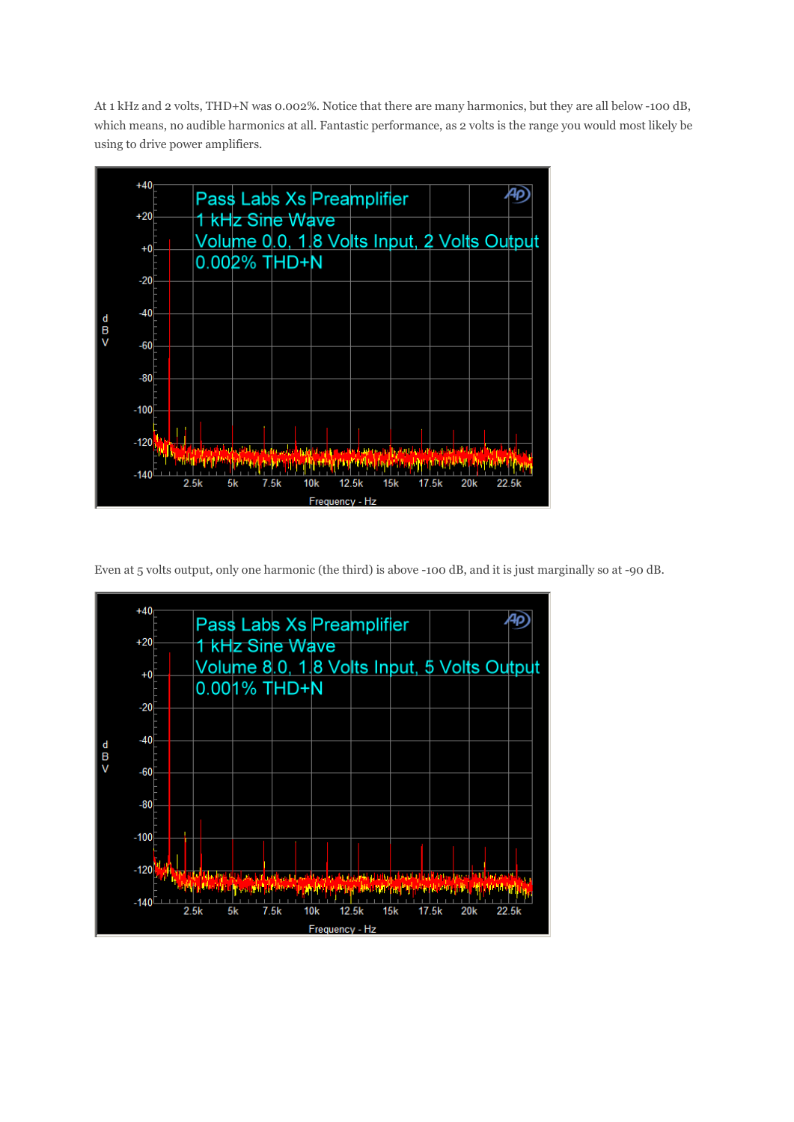At 1 kHz and 2 volts, THD+N was 0.002%. Notice that there are many harmonics, but they are all below -100 dB, which means, no audible harmonics at all. Fantastic performance, as 2 volts is the range you would most likely be using to drive power amplifiers.



Even at 5 volts output, only one harmonic (the third) is above -100 dB, and it is just marginally so at -90 dB.

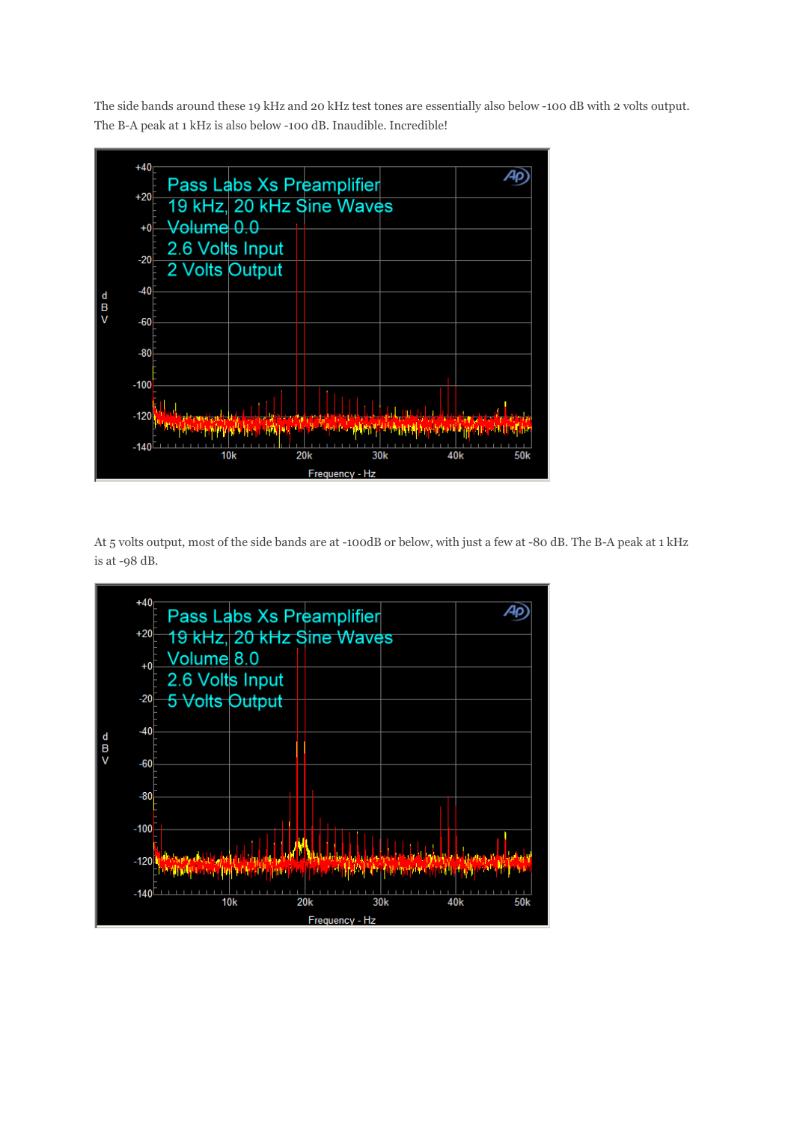The side bands around these 19 kHz and 20 kHz test tones are essentially also below -100 dB with 2 volts output. The B-A peak at 1 kHz is also below -100 dB. Inaudible. Incredible!



At 5 volts output, most of the side bands are at -100dB or below, with just a few at -80 dB. The B-A peak at 1 kHz is at -98 dB.

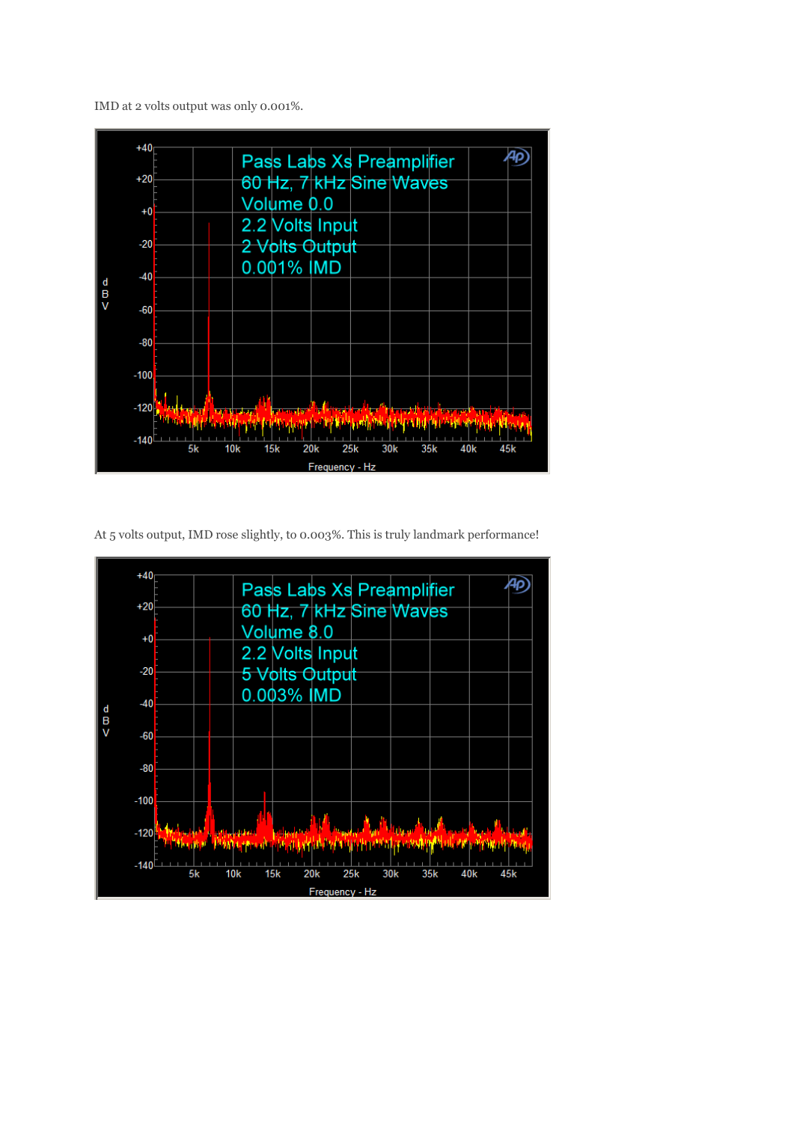IMD at 2 volts output was only 0.001%.



At 5 volts output, IMD rose slightly, to 0.003%. This is truly landmark performance!

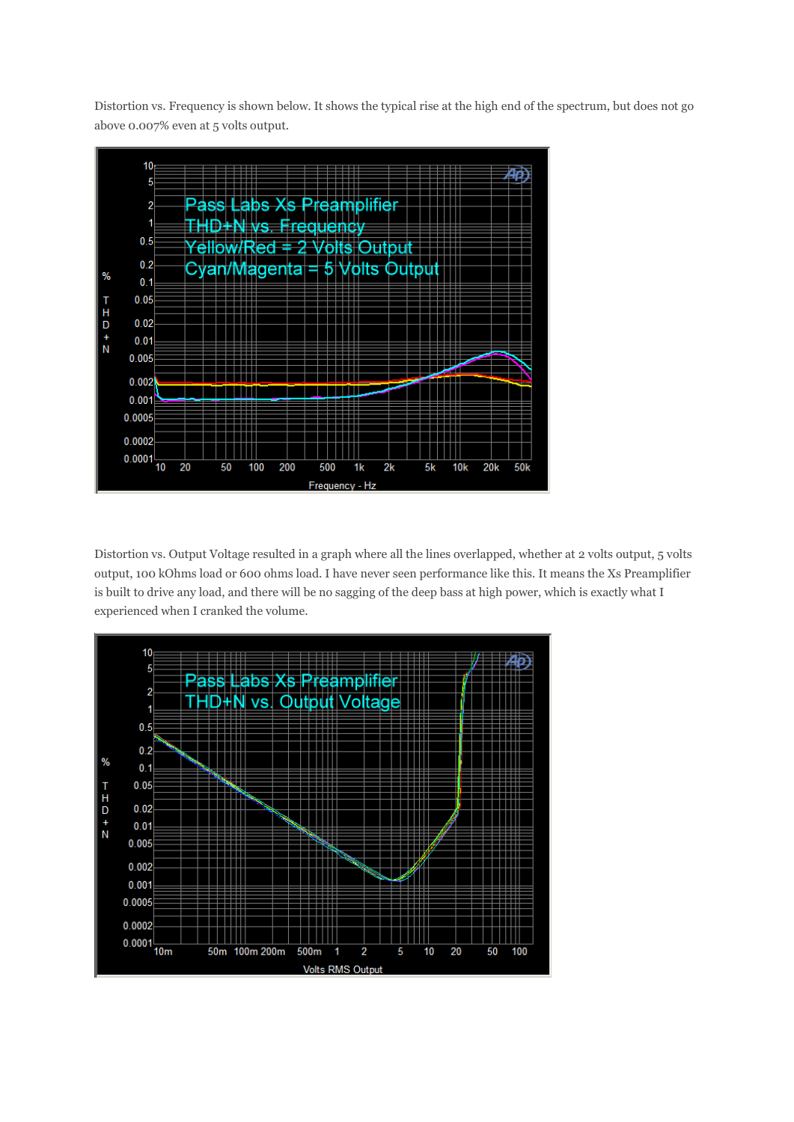Distortion vs. Frequency is shown below. It shows the typical rise at the high end of the spectrum, but does not go above 0.007% even at 5 volts output.



Distortion vs. Output Voltage resulted in a graph where all the lines overlapped, whether at 2 volts output, 5 volts output, 100 kOhms load or 600 ohms load. I have never seen performance like this. It means the Xs Preamplifier is built to drive any load, and there will be no sagging of the deep bass at high power, which is exactly what I experienced when I cranked the volume.

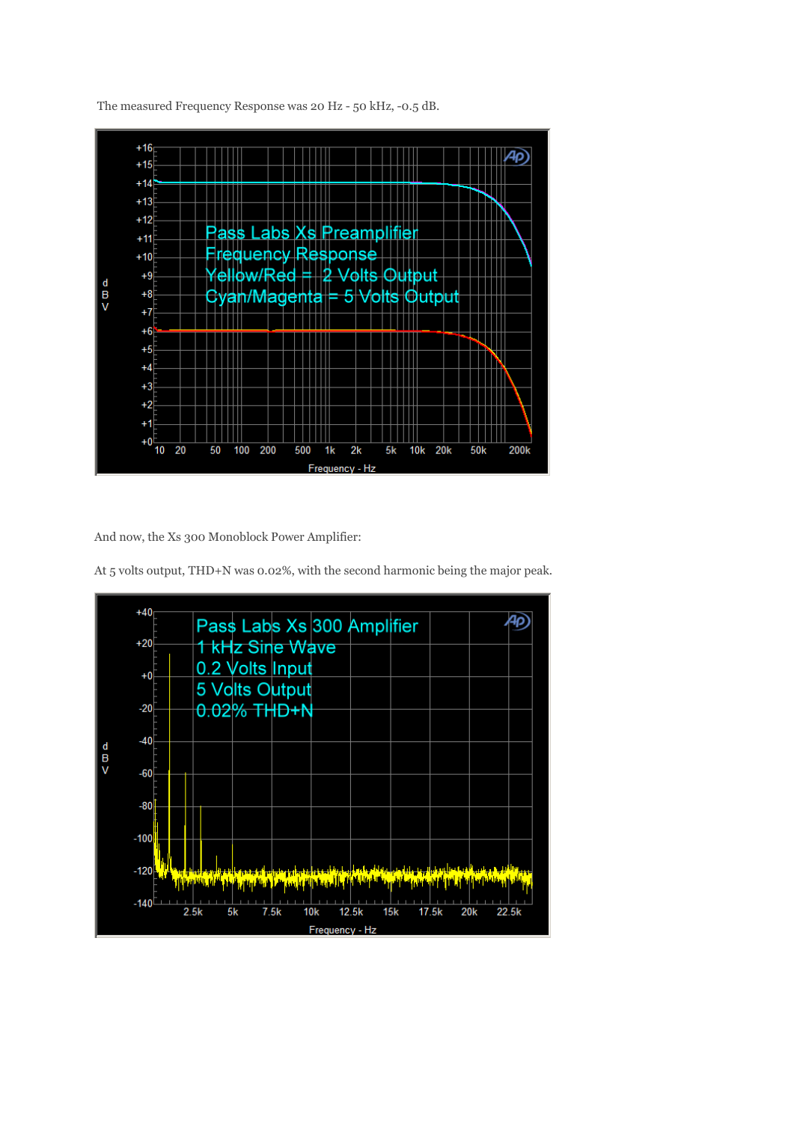

The measured Frequency Response was 20 Hz - 50 kHz, -0.5 dB.

And now, the Xs 300 Monoblock Power Amplifier:

At 5 volts output, THD+N was 0.02%, with the second harmonic being the major peak.

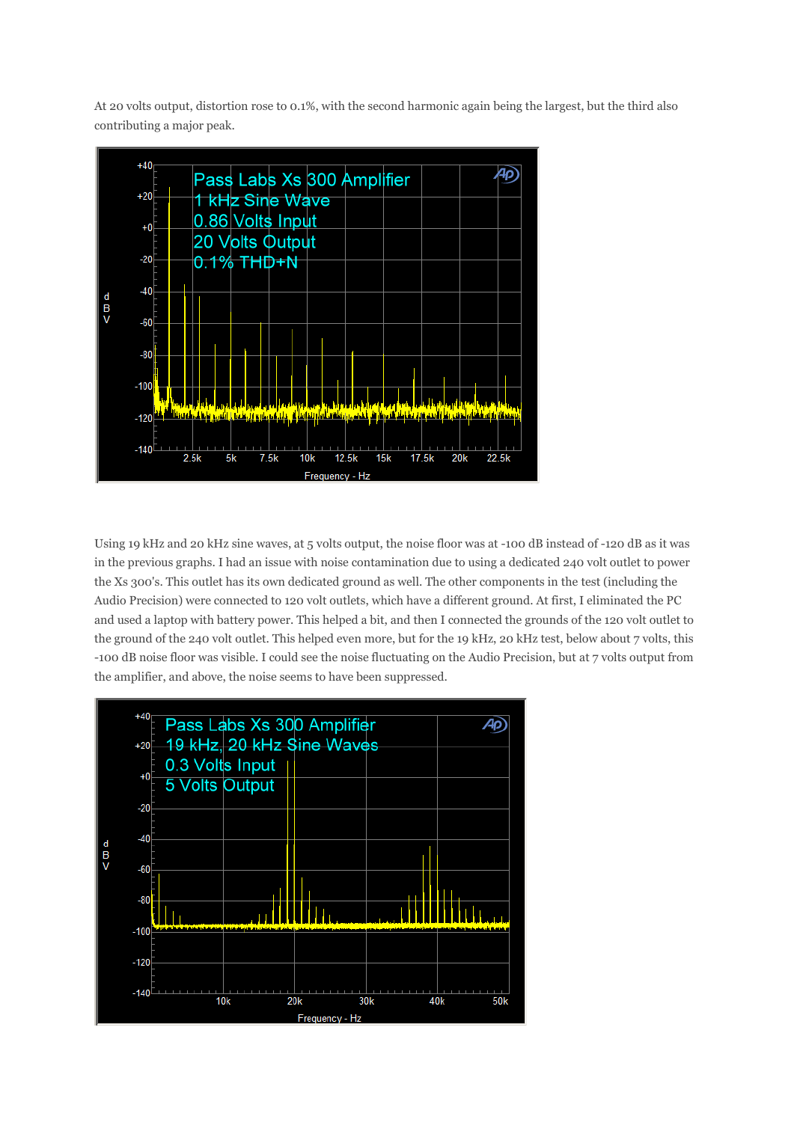At 20 volts output, distortion rose to 0.1%, with the second harmonic again being the largest, but the third also contributing a major peak.



Using 19 kHz and 20 kHz sine waves, at 5 volts output, the noise floor was at -100 dB instead of -120 dB as it was in the previous graphs. I had an issue with noise contamination due to using a dedicated 240 volt outlet to power the Xs 300's. This outlet has its own dedicated ground as well. The other components in the test (including the Audio Precision) were connected to 120 volt outlets, which have a different ground. At first, I eliminated the PC and used a laptop with battery power. This helped a bit, and then I connected the grounds of the 120 volt outlet to the ground of the 240 volt outlet. This helped even more, but for the 19 kHz, 20 kHz test, below about 7 volts, this -100 dB noise floor was visible. I could see the noise fluctuating on the Audio Precision, but at 7 volts output from the amplifier, and above, the noise seems to have been suppressed.

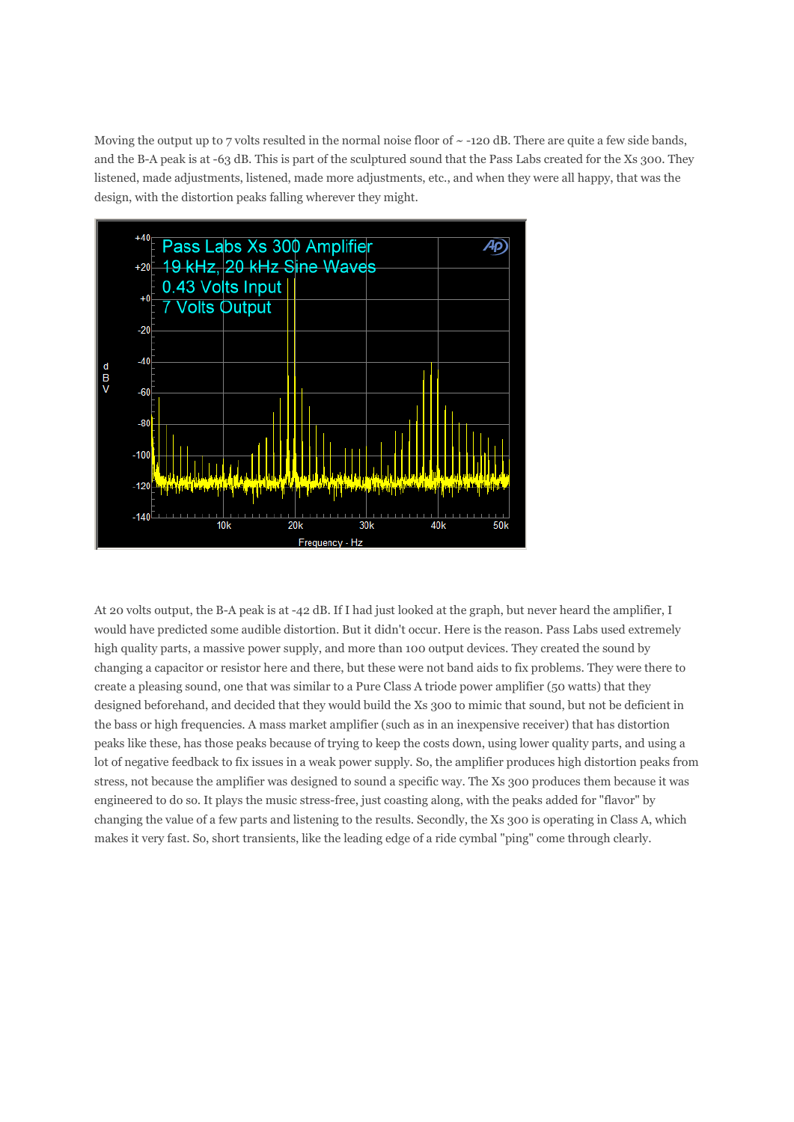Moving the output up to 7 volts resulted in the normal noise floor of  $\sim$  -120 dB. There are quite a few side bands, and the B-A peak is at -63 dB. This is part of the sculptured sound that the Pass Labs created for the Xs 300. They listened, made adjustments, listened, made more adjustments, etc., and when they were all happy, that was the design, with the distortion peaks falling wherever they might.



At 20 volts output, the B-A peak is at -42 dB. If I had just looked at the graph, but never heard the amplifier, I would have predicted some audible distortion. But it didn't occur. Here is the reason. Pass Labs used extremely high quality parts, a massive power supply, and more than 100 output devices. They created the sound by changing a capacitor or resistor here and there, but these were not band aids to fix problems. They were there to create a pleasing sound, one that was similar to a Pure Class A triode power amplifier (50 watts) that they designed beforehand, and decided that they would build the Xs 300 to mimic that sound, but not be deficient in the bass or high frequencies. A mass market amplifier (such as in an inexpensive receiver) that has distortion peaks like these, has those peaks because of trying to keep the costs down, using lower quality parts, and using a lot of negative feedback to fix issues in a weak power supply. So, the amplifier produces high distortion peaks from stress, not because the amplifier was designed to sound a specific way. The Xs 300 produces them because it was engineered to do so. It plays the music stress-free, just coasting along, with the peaks added for "flavor" by changing the value of a few parts and listening to the results. Secondly, the Xs 300 is operating in Class A, which makes it very fast. So, short transients, like the leading edge of a ride cymbal "ping" come through clearly.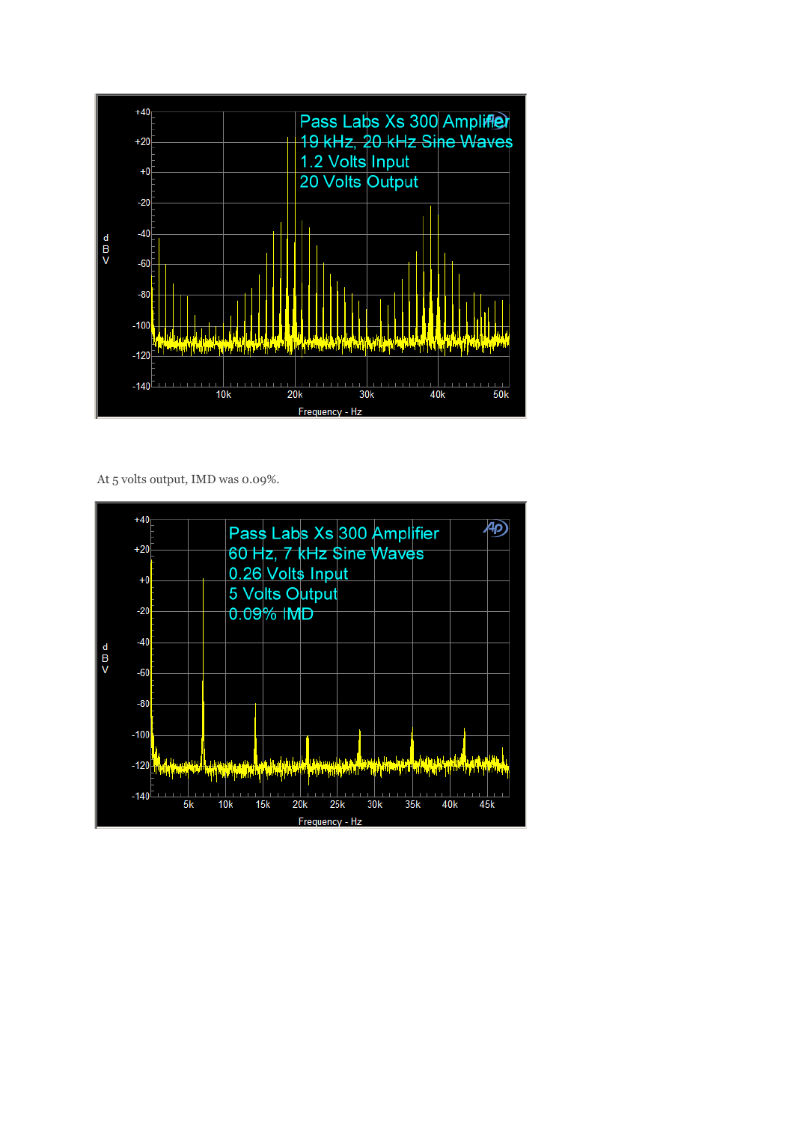

At 5 volts output, IMD was 0.09%.

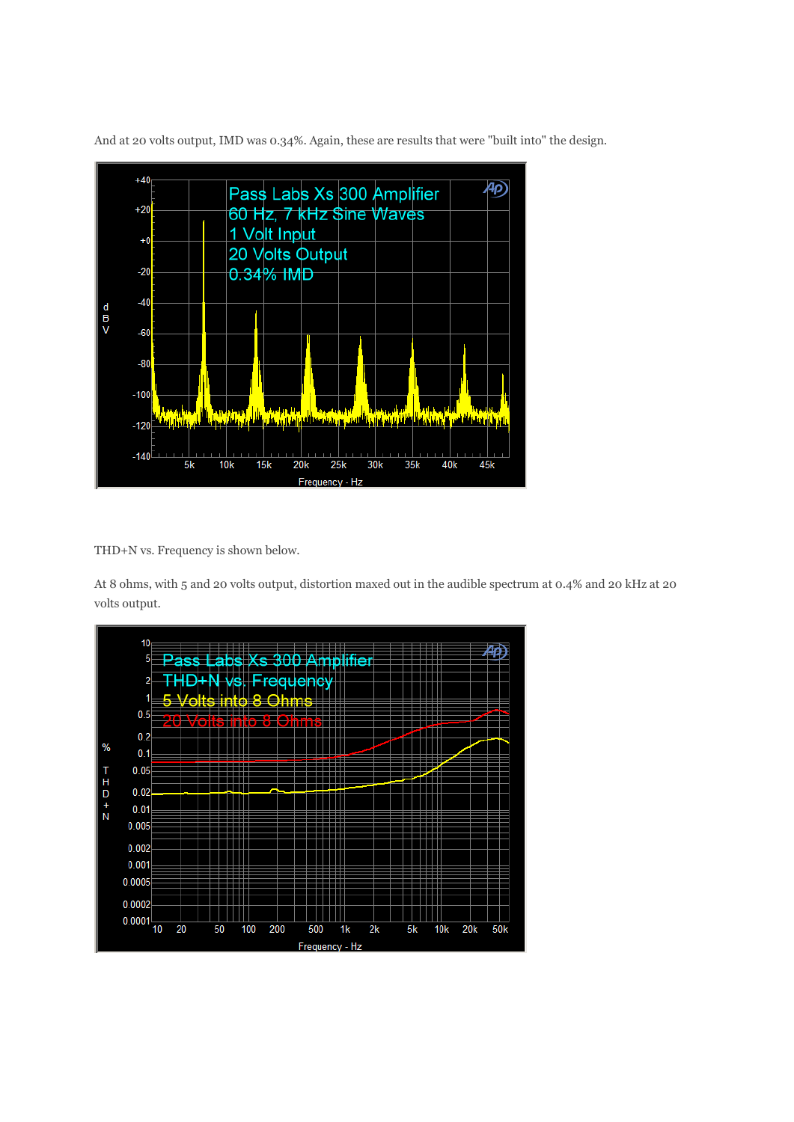

And at 20 volts output, IMD was 0.34%. Again, these are results that were "built into" the design.

THD+N vs. Frequency is shown below.

At 8 ohms, with 5 and 20 volts output, distortion maxed out in the audible spectrum at 0.4% and 20 kHz at 20 volts output.

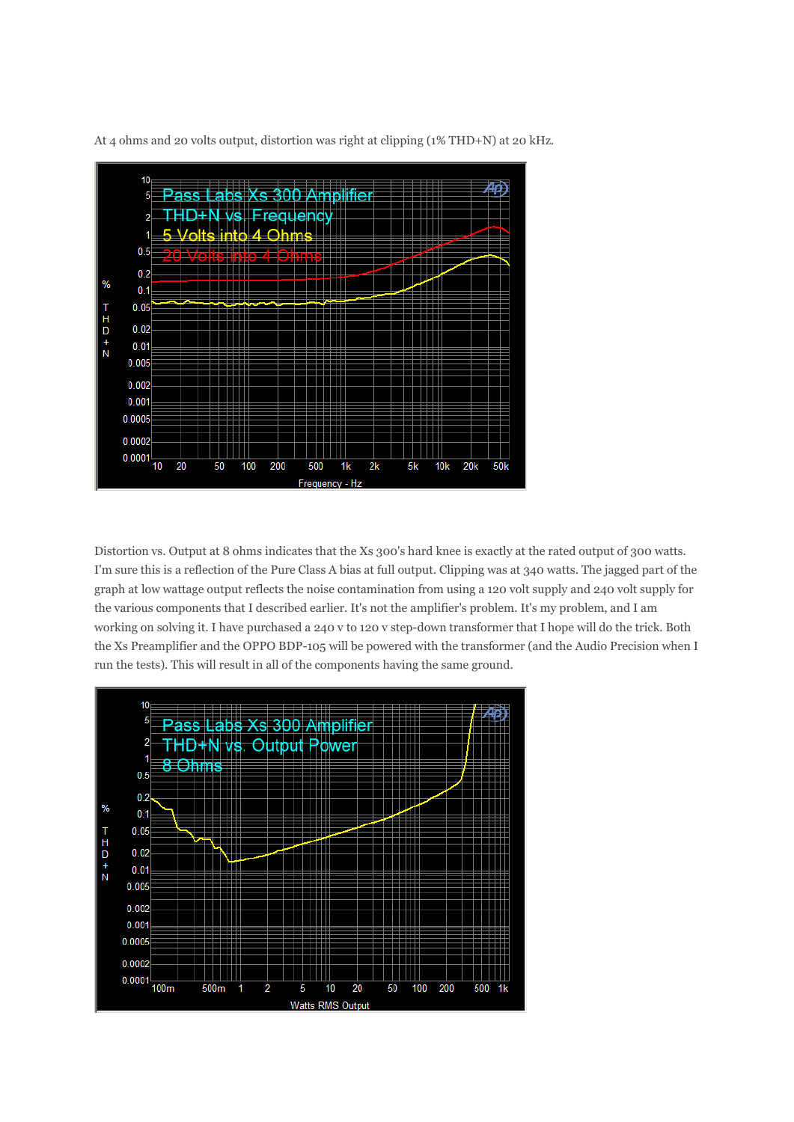

At 4 ohms and 20 volts output, distortion was right at clipping (1% THD+N) at 20 kHz.

Distortion vs. Output at 8 ohms indicates that the Xs 300's hard knee is exactly at the rated output of 300 watts. I'm sure this is a reflection of the Pure Class A bias at full output. Clipping was at 340 watts. The jagged part of the graph at low wattage output reflects the noise contamination from using a 120 volt supply and 240 volt supply for the various components that I described earlier. It's not the amplifier's problem. It's my problem, and I am working on solving it. I have purchased a 240 v to 120 v step-down transformer that I hope will do the trick. Both the Xs Preamplifier and the OPPO BDP-105 will be powered with the transformer (and the Audio Precision when I run the tests). This will result in all of the components having the same ground.